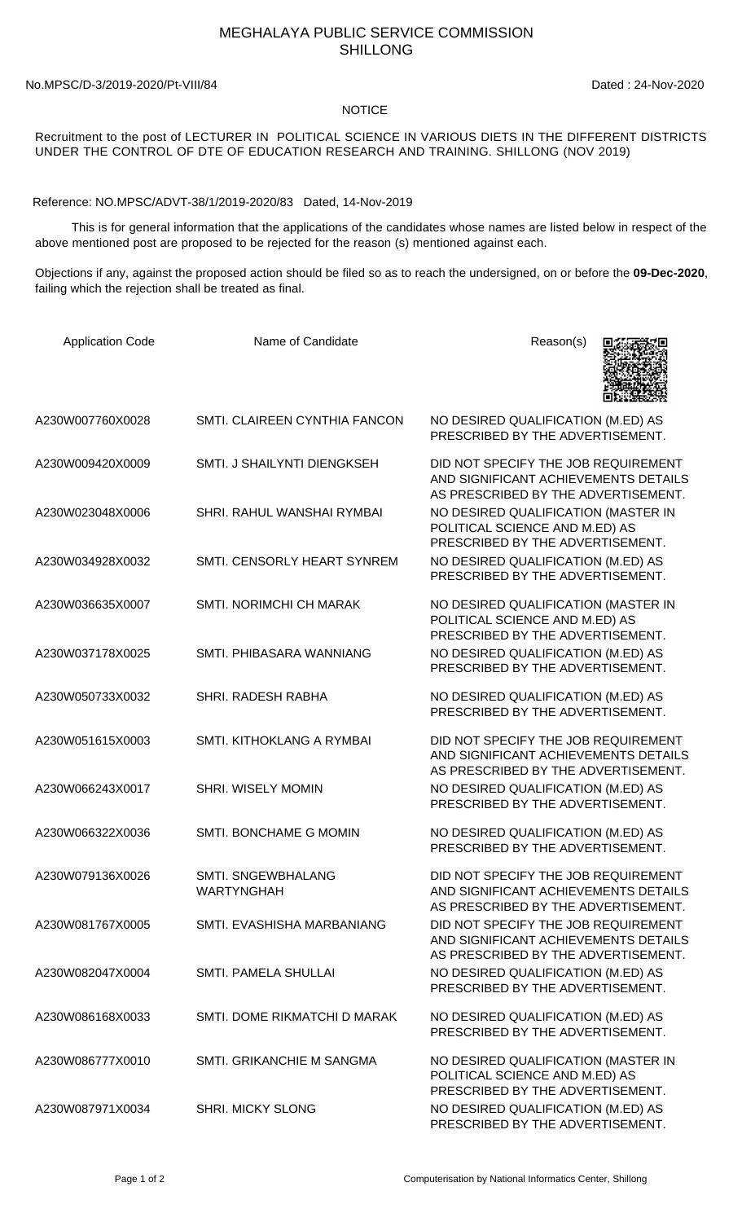## MEGHALAYA PUBLIC SERVICE COMMISSION SHILLONG

No.MPSC/D-3/2019-2020/Pt-VIII/84 Dated : 24-Nov-2020

## NOTICE

Recruitment to the post of LECTURER IN POLITICAL SCIENCE IN VARIOUS DIETS IN THE DIFFERENT DISTRICTS UNDER THE CONTROL OF DTE OF EDUCATION RESEARCH AND TRAINING. SHILLONG (NOV 2019)

Reference: NO.MPSC/ADVT-38/1/2019-2020/83 Dated, 14-Nov-2019

 This is for general information that the applications of the candidates whose names are listed below in respect of the above mentioned post are proposed to be rejected for the reason (s) mentioned against each.

Objections if any, against the proposed action should be filed so as to reach the undersigned, on or before the **09-Dec-2020**, failing which the rejection shall be treated as final.

| <b>Application Code</b> | Name of Candidate                       | Reason(s)                                                                                                          |
|-------------------------|-----------------------------------------|--------------------------------------------------------------------------------------------------------------------|
| A230W007760X0028        | SMTI. CLAIREEN CYNTHIA FANCON           | NO DESIRED QUALIFICATION (M.ED) AS<br>PRESCRIBED BY THE ADVERTISEMENT.                                             |
| A230W009420X0009        | SMTI. J SHAILYNTI DIENGKSEH             | DID NOT SPECIFY THE JOB REQUIREMENT<br>AND SIGNIFICANT ACHIEVEMENTS DETAILS<br>AS PRESCRIBED BY THE ADVERTISEMENT. |
| A230W023048X0006        | SHRI. RAHUL WANSHAI RYMBAI              | NO DESIRED QUALIFICATION (MASTER IN<br>POLITICAL SCIENCE AND M.ED) AS<br>PRESCRIBED BY THE ADVERTISEMENT.          |
| A230W034928X0032        | SMTI. CENSORLY HEART SYNREM             | NO DESIRED QUALIFICATION (M.ED) AS<br>PRESCRIBED BY THE ADVERTISEMENT.                                             |
| A230W036635X0007        | <b>SMTI. NORIMCHI CH MARAK</b>          | NO DESIRED QUALIFICATION (MASTER IN<br>POLITICAL SCIENCE AND M.ED) AS<br>PRESCRIBED BY THE ADVERTISEMENT.          |
| A230W037178X0025        | SMTI. PHIBASARA WANNIANG                | NO DESIRED QUALIFICATION (M.ED) AS<br>PRESCRIBED BY THE ADVERTISEMENT.                                             |
| A230W050733X0032        | SHRI. RADESH RABHA                      | NO DESIRED QUALIFICATION (M.ED) AS<br>PRESCRIBED BY THE ADVERTISEMENT.                                             |
| A230W051615X0003        | SMTI. KITHOKLANG A RYMBAI               | DID NOT SPECIFY THE JOB REQUIREMENT<br>AND SIGNIFICANT ACHIEVEMENTS DETAILS<br>AS PRESCRIBED BY THE ADVERTISEMENT. |
| A230W066243X0017        | <b>SHRI. WISELY MOMIN</b>               | NO DESIRED QUALIFICATION (M.ED) AS<br>PRESCRIBED BY THE ADVERTISEMENT.                                             |
| A230W066322X0036        | SMTI. BONCHAME G MOMIN                  | NO DESIRED QUALIFICATION (M.ED) AS<br>PRESCRIBED BY THE ADVERTISEMENT.                                             |
| A230W079136X0026        | SMTI. SNGEWBHALANG<br><b>WARTYNGHAH</b> | DID NOT SPECIFY THE JOB REQUIREMENT<br>AND SIGNIFICANT ACHIEVEMENTS DETAILS<br>AS PRESCRIBED BY THE ADVERTISEMENT. |
| A230W081767X0005        | SMTI. EVASHISHA MARBANIANG              | DID NOT SPECIFY THE JOB REQUIREMENT<br>AND SIGNIFICANT ACHIEVEMENTS DETAILS<br>AS PRESCRIBED BY THE ADVERTISEMENT. |
| A230W082047X0004        | SMTI. PAMELA SHULLAI                    | NO DESIRED QUALIFICATION (M.ED) AS<br>PRESCRIBED BY THE ADVERTISEMENT.                                             |
| A230W086168X0033        | SMTI. DOME RIKMATCHI D MARAK            | NO DESIRED QUALIFICATION (M.ED) AS<br>PRESCRIBED BY THE ADVERTISEMENT.                                             |
| A230W086777X0010        | SMTI. GRIKANCHIE M SANGMA               | NO DESIRED QUALIFICATION (MASTER IN<br>POLITICAL SCIENCE AND M.ED) AS<br>PRESCRIBED BY THE ADVERTISEMENT.          |
| A230W087971X0034        | <b>SHRI. MICKY SLONG</b>                | NO DESIRED QUALIFICATION (M.ED) AS<br>PRESCRIBED BY THE ADVERTISEMENT.                                             |